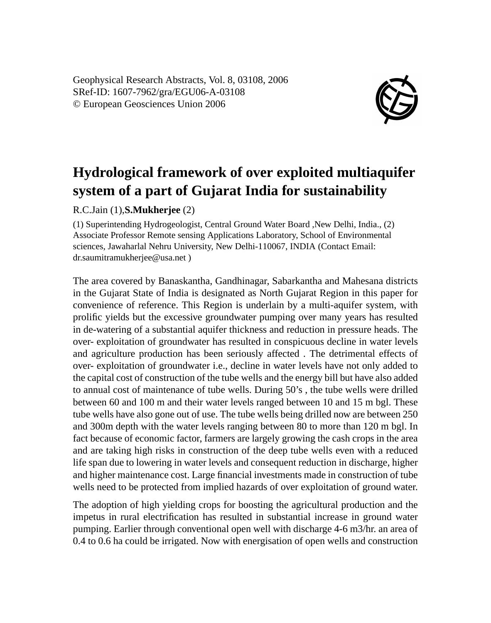Geophysical Research Abstracts, Vol. 8, 03108, 2006 SRef-ID: 1607-7962/gra/EGU06-A-03108 © European Geosciences Union 2006



## **Hydrological framework of over exploited multiaquifer system of a part of Gujarat India for sustainability**

R.C.Jain (1),**S.Mukherjee** (2)

(1) Superintending Hydrogeologist, Central Ground Water Board ,New Delhi, India., (2) Associate Professor Remote sensing Applications Laboratory, School of Environmental sciences, Jawaharlal Nehru University, New Delhi-110067, INDIA (Contact Email: dr.saumitramukherjee@usa.net )

The area covered by Banaskantha, Gandhinagar, Sabarkantha and Mahesana districts in the Gujarat State of India is designated as North Gujarat Region in this paper for convenience of reference. This Region is underlain by a multi-aquifer system, with prolific yields but the excessive groundwater pumping over many years has resulted in de-watering of a substantial aquifer thickness and reduction in pressure heads. The over- exploitation of groundwater has resulted in conspicuous decline in water levels and agriculture production has been seriously affected . The detrimental effects of over- exploitation of groundwater i.e., decline in water levels have not only added to the capital cost of construction of the tube wells and the energy bill but have also added to annual cost of maintenance of tube wells. During 50's , the tube wells were drilled between 60 and 100 m and their water levels ranged between 10 and 15 m bgl. These tube wells have also gone out of use. The tube wells being drilled now are between 250 and 300m depth with the water levels ranging between 80 to more than 120 m bgl. In fact because of economic factor, farmers are largely growing the cash crops in the area and are taking high risks in construction of the deep tube wells even with a reduced life span due to lowering in water levels and consequent reduction in discharge, higher and higher maintenance cost. Large financial investments made in construction of tube wells need to be protected from implied hazards of over exploitation of ground water.

The adoption of high yielding crops for boosting the agricultural production and the impetus in rural electrification has resulted in substantial increase in ground water pumping. Earlier through conventional open well with discharge 4-6 m3/hr. an area of 0.4 to 0.6 ha could be irrigated. Now with energisation of open wells and construction